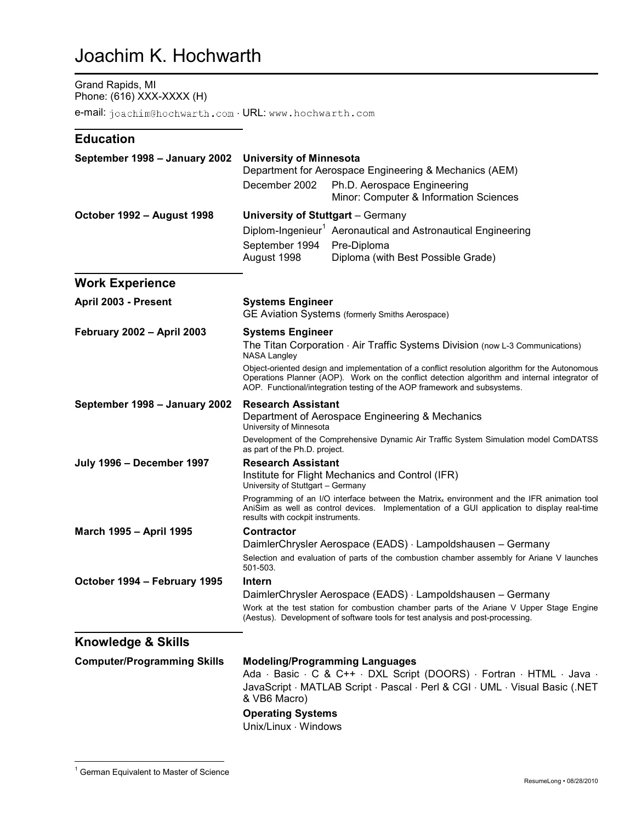## Joachim K. Hochwarth

## Grand Rapids, MI Phone: (616) XXX-XXXX (H)

e-mail: joachim@hochwarth.com · URL: www.hochwarth.com

## **Education**

| September 1998 - January 2002      | <b>University of Minnesota</b><br>Department for Aerospace Engineering & Mechanics (AEM)<br>December 2002<br>Ph.D. Aerospace Engineering<br>Minor: Computer & Information Sciences |                                                                                                                                                                                                                                                                              |
|------------------------------------|------------------------------------------------------------------------------------------------------------------------------------------------------------------------------------|------------------------------------------------------------------------------------------------------------------------------------------------------------------------------------------------------------------------------------------------------------------------------|
| October 1992 - August 1998         | University of Stuttgart - Germany                                                                                                                                                  |                                                                                                                                                                                                                                                                              |
|                                    |                                                                                                                                                                                    | Diplom-Ingenieur <sup>1</sup> Aeronautical and Astronautical Engineering                                                                                                                                                                                                     |
|                                    | September 1994                                                                                                                                                                     | Pre-Diploma                                                                                                                                                                                                                                                                  |
|                                    | August 1998                                                                                                                                                                        | Diploma (with Best Possible Grade)                                                                                                                                                                                                                                           |
| <b>Work Experience</b>             |                                                                                                                                                                                    |                                                                                                                                                                                                                                                                              |
| April 2003 - Present               | <b>Systems Engineer</b><br>GE Aviation Systems (formerly Smiths Aerospace)                                                                                                         |                                                                                                                                                                                                                                                                              |
| <b>February 2002 - April 2003</b>  | <b>Systems Engineer</b>                                                                                                                                                            |                                                                                                                                                                                                                                                                              |
|                                    | The Titan Corporation $\cdot$ Air Traffic Systems Division (now L-3 Communications)<br><b>NASA Langley</b>                                                                         |                                                                                                                                                                                                                                                                              |
|                                    |                                                                                                                                                                                    | Object-oriented design and implementation of a conflict resolution algorithm for the Autonomous<br>Operations Planner (AOP). Work on the conflict detection algorithm and internal integrator of<br>AOP. Functional/integration testing of the AOP framework and subsystems. |
| September 1998 - January 2002      | <b>Research Assistant</b>                                                                                                                                                          |                                                                                                                                                                                                                                                                              |
|                                    | Department of Aerospace Engineering & Mechanics<br>University of Minnesota                                                                                                         |                                                                                                                                                                                                                                                                              |
|                                    | Development of the Comprehensive Dynamic Air Traffic System Simulation model ComDATSS<br>as part of the Ph.D. project.                                                             |                                                                                                                                                                                                                                                                              |
| <b>July 1996 - December 1997</b>   | <b>Research Assistant</b><br>Institute for Flight Mechanics and Control (IFR)<br>University of Stuttgart - Germany                                                                 |                                                                                                                                                                                                                                                                              |
|                                    | results with cockpit instruments.                                                                                                                                                  | Programming of an I/O interface between the Matrix <sub>x</sub> environment and the IFR animation tool<br>AniSim as well as control devices. Implementation of a GUI application to display real-time                                                                        |
| March 1995 - April 1995            | <b>Contractor</b>                                                                                                                                                                  |                                                                                                                                                                                                                                                                              |
|                                    |                                                                                                                                                                                    | DaimlerChrysler Aerospace (EADS) · Lampoldshausen - Germany                                                                                                                                                                                                                  |
|                                    | 501-503.                                                                                                                                                                           | Selection and evaluation of parts of the combustion chamber assembly for Ariane V launches                                                                                                                                                                                   |
| October 1994 - February 1995       | Intern                                                                                                                                                                             |                                                                                                                                                                                                                                                                              |
|                                    |                                                                                                                                                                                    | DaimlerChrysler Aerospace (EADS) · Lampoldshausen - Germany                                                                                                                                                                                                                  |
|                                    |                                                                                                                                                                                    | Work at the test station for combustion chamber parts of the Ariane V Upper Stage Engine<br>(Aestus). Development of software tools for test analysis and post-processing.                                                                                                   |
| <b>Knowledge &amp; Skills</b>      |                                                                                                                                                                                    |                                                                                                                                                                                                                                                                              |
| <b>Computer/Programming Skills</b> |                                                                                                                                                                                    | <b>Modeling/Programming Languages</b>                                                                                                                                                                                                                                        |
|                                    | & VB6 Macro)                                                                                                                                                                       | Ada · Basic · C & C++ · DXL Script (DOORS) · Fortran · HTML · Java ·<br>JavaScript · MATLAB Script · Pascal · Perl & CGI · UML · Visual Basic (.NET                                                                                                                          |
|                                    | Operating Systems                                                                                                                                                                  |                                                                                                                                                                                                                                                                              |

**Operating Systems**  Unix/Linux ⋅ Windows

 $\overline{a}$ 

<sup>&</sup>lt;sup>1</sup> German Equivalent to Master of Science